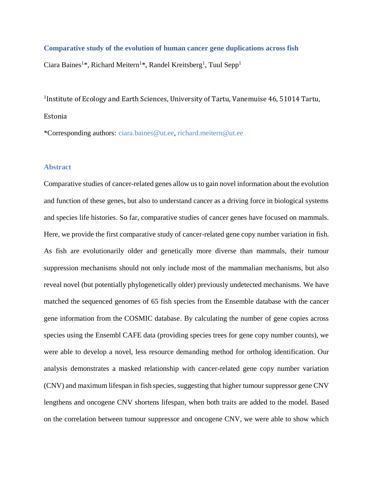# **Comparative study of the evolution of human cancer gene duplications across fish**

Ciara Baines<sup>1\*</sup>, Richard Meitern<sup>1\*</sup>, Randel Kreitsberg<sup>1</sup>, Tuul Sepp<sup>1</sup>

<sup>1</sup>Institute of Ecology and Earth Sciences, University of Tartu, Vanemuise 46, 51014 Tartu, Estonia

\*Corresponding authors: [ciara.baines@ut.ee,](mailto:ciara.baines@ut.ee) [richard.meitern@ut.ee](mailto:richard.meitern@ut.ee)

### **Abstract**

Comparative studies of cancer-related genes allow us to gain novel information about the evolution and function of these genes, but also to understand cancer as a driving force in biological systems and species life histories. So far, comparative studies of cancer genes have focused on mammals. Here, we provide the first comparative study of cancer-related gene copy number variation in fish. As fish are evolutionarily older and genetically more diverse than mammals, their tumour suppression mechanisms should not only include most of the mammalian mechanisms, but also reveal novel (but potentially phylogenetically older) previously undetected mechanisms. We have matched the sequenced genomes of 65 fish species from the Ensemble database with the cancer gene information from the COSMIC database. By calculating the number of gene copies across species using the Ensembl CAFE data (providing species trees for gene copy number counts), we were able to develop a novel, less resource demanding method for ortholog identification. Our analysis demonstrates a masked relationship with cancer-related gene copy number variation (CNV) and maximum lifespan in fish species, suggesting that higher tumour suppressor gene CNV lengthens and oncogene CNV shortens lifespan, when both traits are added to the model. Based on the correlation between tumour suppressor and oncogene CNV, we were able to show which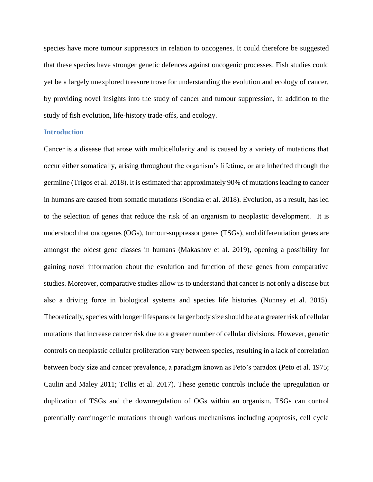species have more tumour suppressors in relation to oncogenes. It could therefore be suggested that these species have stronger genetic defences against oncogenic processes. Fish studies could yet be a largely unexplored treasure trove for understanding the evolution and ecology of cancer, by providing novel insights into the study of cancer and tumour suppression, in addition to the study of fish evolution, life-history trade-offs, and ecology.

### **Introduction**

Cancer is a disease that arose with multicellularity and is caused by a variety of mutations that occur either somatically, arising throughout the organism's lifetime, or are inherited through the germline (Trigos et al. 2018). It is estimated that approximately 90% of mutations leading to cancer in humans are caused from somatic mutations (Sondka et al. 2018). Evolution, as a result, has led to the selection of genes that reduce the risk of an organism to neoplastic development. It is understood that oncogenes (OGs), tumour-suppressor genes (TSGs), and differentiation genes are amongst the oldest gene classes in humans (Makashov et al. 2019), opening a possibility for gaining novel information about the evolution and function of these genes from comparative studies. Moreover, comparative studies allow us to understand that cancer is not only a disease but also a driving force in biological systems and species life histories (Nunney et al. 2015). Theoretically, species with longer lifespans or larger body size should be at a greater risk of cellular mutations that increase cancer risk due to a greater number of cellular divisions. However, genetic controls on neoplastic cellular proliferation vary between species, resulting in a lack of correlation between body size and cancer prevalence, a paradigm known as Peto's paradox (Peto et al. 1975; Caulin and Maley 2011; Tollis et al. 2017). These genetic controls include the upregulation or duplication of TSGs and the downregulation of OGs within an organism. TSGs can control potentially carcinogenic mutations through various mechanisms including apoptosis, cell cycle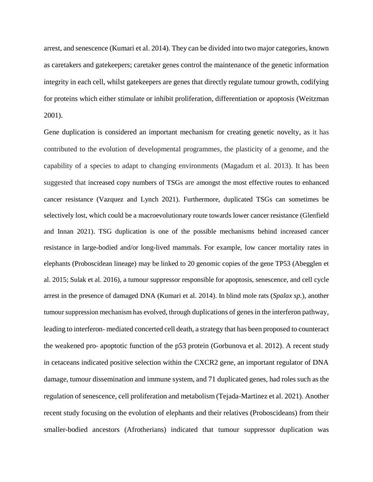arrest, and senescence (Kumari et al. 2014). They can be divided into two major categories, known as caretakers and gatekeepers; caretaker genes control the maintenance of the genetic information integrity in each cell, whilst gatekeepers are genes that directly regulate tumour growth, codifying for proteins which either stimulate or inhibit proliferation, differentiation or apoptosis (Weitzman 2001).

Gene duplication is considered an important mechanism for creating genetic novelty, as it has contributed to the evolution of developmental programmes, the plasticity of a genome, and the capability of a species to adapt to changing environments (Magadum et al. 2013). It has been suggested that increased copy numbers of TSGs are amongst the most effective routes to enhanced cancer resistance (Vazquez and Lynch 2021). Furthermore, duplicated TSGs can sometimes be selectively lost, which could be a macroevolutionary route towards lower cancer resistance (Glenfield and Innan 2021). TSG duplication is one of the possible mechanisms behind increased cancer resistance in large-bodied and/or long-lived mammals. For example, low cancer mortality rates in elephants (Proboscidean lineage) may be linked to 20 genomic copies of the gene TP53 (Abegglen et al. 2015; Sulak et al. 2016), a tumour suppressor responsible for apoptosis, senescence, and cell cycle arrest in the presence of damaged DNA (Kumari et al. 2014). In blind mole rats (*Spalax sp.*), another tumour suppression mechanism has evolved, through duplications of genes in the interferon pathway, leading to interferon- mediated concerted cell death, a strategy that has been proposed to counteract the weakened pro- apoptotic function of the p53 protein (Gorbunova et al. 2012). A recent study in cetaceans indicated positive selection within the CXCR2 gene, an important regulator of DNA damage, tumour dissemination and immune system, and 71 duplicated genes, had roles such as the regulation of senescence, cell proliferation and metabolism (Tejada-Martinez et al. 2021). Another recent study focusing on the evolution of elephants and their relatives (Proboscideans) from their smaller-bodied ancestors (Afrotherians) indicated that tumour suppressor duplication was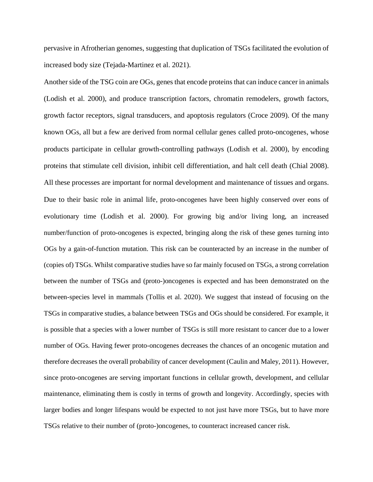pervasive in Afrotherian genomes, suggesting that duplication of TSGs facilitated the evolution of increased body size (Tejada-Martinez et al. 2021).

Another side of the TSG coin are OGs, genes that encode proteins that can induce cancer in animals (Lodish et al. 2000), and produce transcription factors, chromatin remodelers, growth factors, growth factor receptors, signal transducers, and apoptosis regulators (Croce 2009). Of the many known OGs, all but a few are derived from normal cellular genes called proto-oncogenes, whose products participate in cellular growth-controlling pathways (Lodish et al. 2000), by encoding proteins that stimulate cell division, inhibit cell differentiation, and halt cell death (Chial 2008). All these processes are important for normal development and maintenance of tissues and organs. Due to their basic role in animal life, proto-oncogenes have been highly conserved over eons of evolutionary time (Lodish et al. 2000). For growing big and/or living long, an increased number/function of proto-oncogenes is expected, bringing along the risk of these genes turning into OGs by a gain-of-function mutation. This risk can be counteracted by an increase in the number of (copies of) TSGs. Whilst comparative studies have so far mainly focused on TSGs, a strong correlation between the number of TSGs and (proto-)oncogenes is expected and has been demonstrated on the between-species level in mammals (Tollis et al. 2020). We suggest that instead of focusing on the TSGs in comparative studies, a balance between TSGs and OGs should be considered. For example, it is possible that a species with a lower number of TSGs is still more resistant to cancer due to a lower number of OGs. Having fewer proto-oncogenes decreases the chances of an oncogenic mutation and therefore decreases the overall probability of cancer development (Caulin and Maley, 2011). However, since proto-oncogenes are serving important functions in cellular growth, development, and cellular maintenance, eliminating them is costly in terms of growth and longevity. Accordingly, species with larger bodies and longer lifespans would be expected to not just have more TSGs, but to have more TSGs relative to their number of (proto-)oncogenes*,* to counteract increased cancer risk.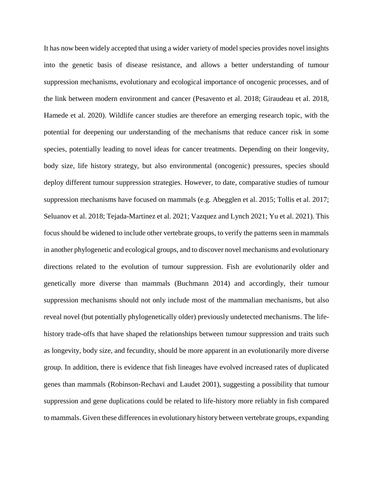It has now been widely accepted that using a wider variety of model species provides novel insights into the genetic basis of disease resistance, and allows a better understanding of tumour suppression mechanisms, evolutionary and ecological importance of oncogenic processes, and of the link between modern environment and cancer (Pesavento et al. 2018; Giraudeau et al. 2018, Hamede et al. 2020). Wildlife cancer studies are therefore an emerging research topic, with the potential for deepening our understanding of the mechanisms that reduce cancer risk in some species, potentially leading to novel ideas for cancer treatments. Depending on their longevity, body size, life history strategy, but also environmental (oncogenic) pressures, species should deploy different tumour suppression strategies. However, to date, comparative studies of tumour suppression mechanisms have focused on mammals (e.g. Abegglen et al. 2015; Tollis et al. 2017; Seluanov et al. 2018; Tejada-Martinez et al. 2021; Vazquez and Lynch 2021; Yu et al. 2021). This focus should be widened to include other vertebrate groups, to verify the patterns seen in mammals in another phylogenetic and ecological groups, and to discover novel mechanisms and evolutionary directions related to the evolution of tumour suppression. Fish are evolutionarily older and genetically more diverse than mammals (Buchmann 2014) and accordingly, their tumour suppression mechanisms should not only include most of the mammalian mechanisms, but also reveal novel (but potentially phylogenetically older) previously undetected mechanisms. The lifehistory trade-offs that have shaped the relationships between tumour suppression and traits such as longevity, body size, and fecundity, should be more apparent in an evolutionarily more diverse group. In addition, there is evidence that fish lineages have evolved increased rates of duplicated genes than mammals (Robinson-Rechavi and Laudet 2001), suggesting a possibility that tumour suppression and gene duplications could be related to life-history more reliably in fish compared to mammals. Given these differences in evolutionary history between vertebrate groups, expanding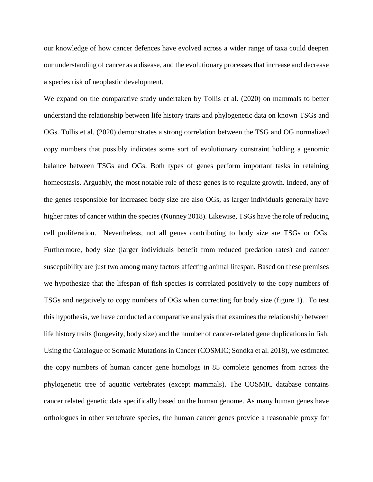our knowledge of how cancer defences have evolved across a wider range of taxa could deepen our understanding of cancer as a disease, and the evolutionary processes that increase and decrease a species risk of neoplastic development.

We expand on the comparative study undertaken by Tollis et al. (2020) on mammals to better understand the relationship between life history traits and phylogenetic data on known TSGs and OGs. Tollis et al. (2020) demonstrates a strong correlation between the TSG and OG normalized copy numbers that possibly indicates some sort of evolutionary constraint holding a genomic balance between TSGs and OGs. Both types of genes perform important tasks in retaining homeostasis. Arguably, the most notable role of these genes is to regulate growth. Indeed, any of the genes responsible for increased body size are also OGs, as larger individuals generally have higher rates of cancer within the species (Nunney 2018). Likewise, TSGs have the role of reducing cell proliferation. Nevertheless, not all genes contributing to body size are TSGs or OGs. Furthermore, body size (larger individuals benefit from reduced predation rates) and cancer susceptibility are just two among many factors affecting animal lifespan. Based on these premises we hypothesize that the lifespan of fish species is correlated positively to the copy numbers of TSGs and negatively to copy numbers of OGs when correcting for body size (figure 1). To test this hypothesis, we have conducted a comparative analysis that examines the relationship between life history traits (longevity, body size) and the number of cancer-related gene duplications in fish. Using the Catalogue of Somatic Mutations in Cancer (COSMIC; Sondka et al. 2018), we estimated the copy numbers of human cancer gene homologs in 85 complete genomes from across the phylogenetic tree of aquatic vertebrates (except mammals). The COSMIC database contains cancer related genetic data specifically based on the human genome. As many human genes have orthologues in other vertebrate species, the human cancer genes provide a reasonable proxy for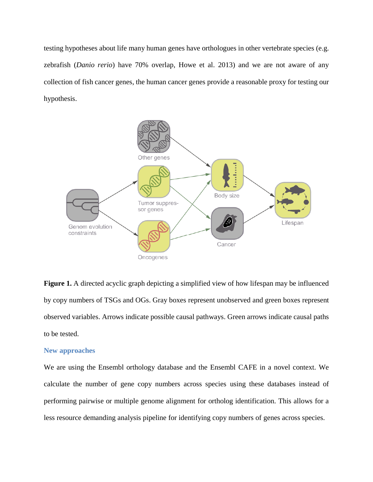testing hypotheses about life many human genes have orthologues in other vertebrate species (e.g. zebrafish (*Danio rerio*) have 70% overlap, Howe et al. 2013) and we are not aware of any collection of fish cancer genes, the human cancer genes provide a reasonable proxy for testing our hypothesis.



**Figure 1.** A directed acyclic graph depicting a simplified view of how lifespan may be influenced by copy numbers of TSGs and OGs. Gray boxes represent unobserved and green boxes represent observed variables. Arrows indicate possible causal pathways. Green arrows indicate causal paths to be tested.

#### **New approaches**

We are using the Ensembl orthology database and the Ensembl CAFE in a novel context. We calculate the number of gene copy numbers across species using these databases instead of performing pairwise or multiple genome alignment for ortholog identification. This allows for a less resource demanding analysis pipeline for identifying copy numbers of genes across species.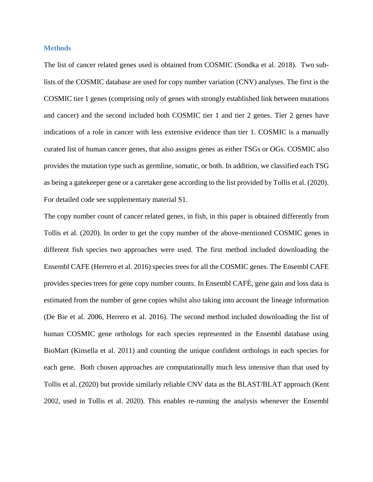### **Methods**

The list of cancer related genes used is obtained from COSMIC (Sondka et al. 2018). Two sublists of the COSMIC database are used for copy number variation (CNV) analyses. The first is the COSMIC tier 1 genes (comprising only of genes with strongly established link between mutations and cancer) and the second included both COSMIC tier 1 and tier 2 genes. Tier 2 genes have indications of a role in cancer with less extensive evidence than tier 1. COSMIC is a manually curated list of human cancer genes, that also assigns genes as either TSGs or OGs. COSMIC also provides the mutation type such as germline, somatic, or both. In addition, we classified each TSG as being a gatekeeper gene or a caretaker gene according to the list provided by Tollis et al. (2020). For detailed code see supplementary material S1.

The copy number count of cancer related genes, in fish, in this paper is obtained differently from Tollis et al. (2020). In order to get the copy number of the above-mentioned COSMIC genes in different fish species two approaches were used. The first method included downloading the Ensembl CAFE (Herrero et al. 2016) species trees for all the COSMIC genes. The Ensembl CAFE provides species trees for gene copy number counts. In Ensembl CAFÉ, gene gain and loss data is estimated from the number of gene copies whilst also taking into account the lineage information (De Bie et al. 2006, Herrero et al. 2016). The second method included downloading the list of human COSMIC gene orthologs for each species represented in the Ensembl database using BioMart (Kinsella et al. 2011) and counting the unique confident orthologs in each species for each gene. Both chosen approaches are computationally much less intensive than that used by Tollis et al. (2020) but provide similarly reliable CNV data as the BLAST/BLAT approach (Kent 2002, used in Tollis et al. 2020). This enables re-running the analysis whenever the Ensembl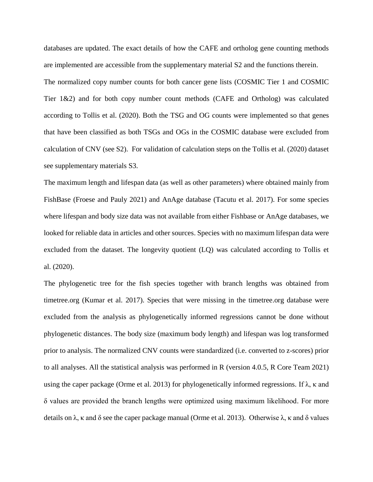databases are updated. The exact details of how the CAFE and ortholog gene counting methods are implemented are accessible from the supplementary material S2 and the functions therein. The normalized copy number counts for both cancer gene lists (COSMIC Tier 1 and COSMIC Tier 1&2) and for both copy number count methods (CAFE and Ortholog) was calculated according to Tollis et al. (2020). Both the TSG and OG counts were implemented so that genes that have been classified as both TSGs and OGs in the COSMIC database were excluded from calculation of CNV (see S2). For validation of calculation steps on the Tollis et al. (2020) dataset see supplementary materials S3.

The maximum length and lifespan data (as well as other parameters) where obtained mainly from FishBase (Froese and Pauly 2021) and AnAge database (Tacutu et al. 2017). For some species where lifespan and body size data was not available from either Fishbase or AnAge databases, we looked for reliable data in articles and other sources. Species with no maximum lifespan data were excluded from the dataset. The longevity quotient (LQ) was calculated according to Tollis et al. (2020).

The phylogenetic tree for the fish species together with branch lengths was obtained from timetree.org (Kumar et al. 2017). Species that were missing in the timetree.org database were excluded from the analysis as phylogenetically informed regressions cannot be done without phylogenetic distances. The body size (maximum body length) and lifespan was log transformed prior to analysis. The normalized CNV counts were standardized (i.e. converted to z-scores) prior to all analyses. All the statistical analysis was performed in R (version 4.0.5, R Core Team 2021) using the caper package (Orme et al. 2013) for phylogenetically informed regressions. If  $\lambda$ ,  $\kappa$  and δ values are provided the branch lengths were optimized using maximum likelihood. For more details on  $\lambda$ , κ and δ see the caper package manual (Orme et al. 2013). Otherwise  $\lambda$ , κ and δ values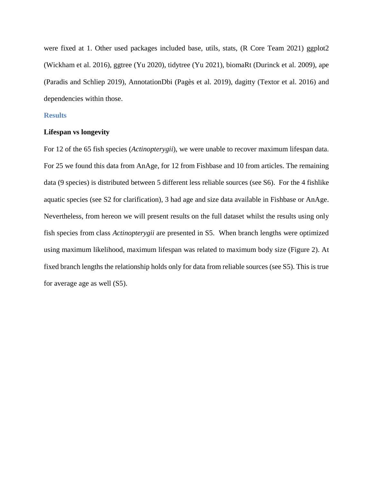were fixed at 1. Other used packages included base, utils, stats, (R Core Team 2021) ggplot2 (Wickham et al. 2016), ggtree (Yu 2020), tidytree (Yu 2021), biomaRt (Durinck et al. 2009), ape (Paradis and Schliep 2019), AnnotationDbi (Pagès et al. 2019), dagitty (Textor et al. 2016) and dependencies within those.

### **Results**

### **Lifespan vs longevity**

For 12 of the 65 fish species (*Actinopterygii*), we were unable to recover maximum lifespan data. For 25 we found this data from AnAge, for 12 from Fishbase and 10 from articles. The remaining data (9 species) is distributed between 5 different less reliable sources (see S6). For the 4 fishlike aquatic species (see S2 for clarification), 3 had age and size data available in Fishbase or AnAge. Nevertheless, from hereon we will present results on the full dataset whilst the results using only fish species from class *Actinopterygii* are presented in S5. When branch lengths were optimized using maximum likelihood, maximum lifespan was related to maximum body size (Figure 2). At fixed branch lengths the relationship holds only for data from reliable sources (see S5). This is true for average age as well (S5).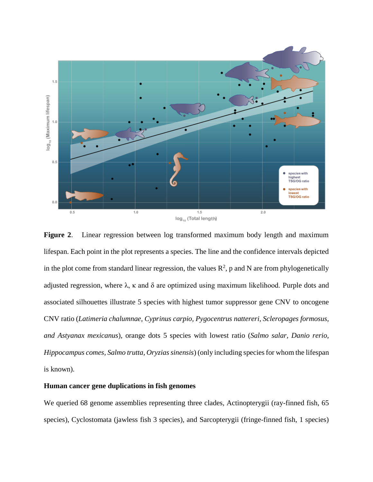

**Figure 2**. Linear regression between log transformed maximum body length and maximum lifespan. Each point in the plot represents a species. The line and the confidence intervals depicted in the plot come from standard linear regression, the values  $\mathbb{R}^2$ , p and N are from phylogenetically adjusted regression, where  $\lambda$ ,  $\kappa$  and  $\delta$  are optimized using maximum likelihood. Purple dots and associated silhouettes illustrate 5 species with highest tumor suppressor gene CNV to oncogene CNV ratio (*Latimeria chalumnae, Cyprinus carpio, Pygocentrus nattereri, Scleropages formosus, and Astyanax mexicanus*), orange dots 5 species with lowest ratio (*Salmo salar, Danio rerio, Hippocampus comes, Salmo trutta, Oryzias sinensis*) (only including species for whom the lifespan is known).

## **Human cancer gene duplications in fish genomes**

We queried 68 genome assemblies representing three clades, Actinopterygii (ray-finned fish, 65 species), Cyclostomata (jawless fish 3 species), and Sarcopterygii (fringe-finned fish, 1 species)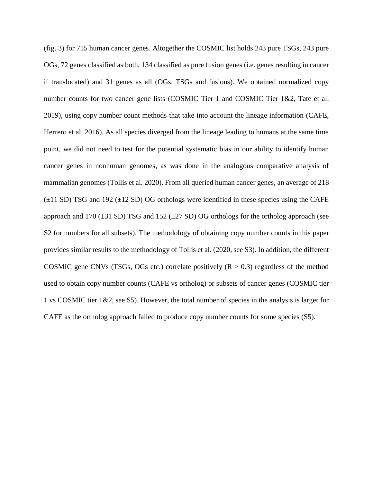(fig. 3) for 715 human cancer genes. Altogether the COSMIC list holds 243 pure TSGs, 243 pure OGs, 72 genes classified as both, 134 classified as pure fusion genes (i.e. genes resulting in cancer if translocated) and 31 genes as all (OGs, TSGs and fusions). We obtained normalized copy number counts for two cancer gene lists (COSMIC Tier 1 and COSMIC Tier 1&2, Tate et al. 2019), using copy number count methods that take into account the lineage information (CAFE, Herrero et al. 2016). As all species diverged from the lineage leading to humans at the same time point, we did not need to test for the potential systematic bias in our ability to identify human cancer genes in nonhuman genomes, as was done in the analogous comparative analysis of mammalian genomes (Tollis et al. 2020). From all queried human cancer genes, an average of 218  $(\pm 11$  SD) TSG and 192  $(\pm 12$  SD) OG orthologs were identified in these species using the CAFE approach and 170  $(\pm 31$  SD) TSG and 152  $(\pm 27$  SD) OG orthologs for the ortholog approach (see S2 for numbers for all subsets). The methodology of obtaining copy number counts in this paper provides similar results to the methodology of Tollis et al. (2020, see S3). In addition, the different COSMIC gene CNVs (TSGs, OGs etc.) correlate positively  $(R > 0.3)$  regardless of the method used to obtain copy number counts (CAFE vs ortholog) or subsets of cancer genes (COSMIC tier 1 vs COSMIC tier 1&2, see S5). However, the total number of species in the analysis is larger for CAFE as the ortholog approach failed to produce copy number counts for some species (S5).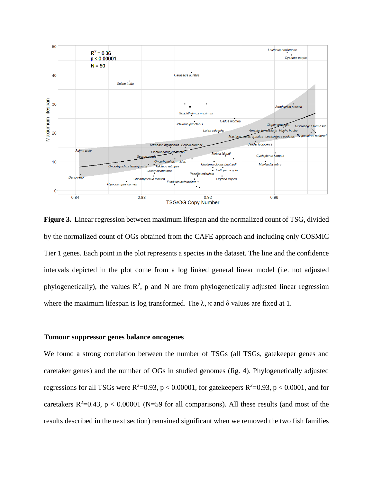

**Figure 3.** Linear regression between maximum lifespan and the normalized count of TSG, divided by the normalized count of OGs obtained from the CAFE approach and including only COSMIC Tier 1 genes. Each point in the plot represents a species in the dataset. The line and the confidence intervals depicted in the plot come from a log linked general linear model (i.e. not adjusted phylogenetically), the values  $\mathbb{R}^2$ , p and N are from phylogenetically adjusted linear regression where the maximum lifespan is log transformed. The  $\lambda$ ,  $\kappa$  and  $\delta$  values are fixed at 1.

#### **Tumour suppressor genes balance oncogenes**

We found a strong correlation between the number of TSGs (all TSGs, gatekeeper genes and caretaker genes) and the number of OGs in studied genomes (fig. 4). Phylogenetically adjusted regressions for all TSGs were  $R^2=0.93$ , p < 0.00001, for gate keepers  $R^2=0.93$ , p < 0.0001, and for caretakers  $R^2$ =0.43, p < 0.00001 (N=59 for all comparisons). All these results (and most of the results described in the next section) remained significant when we removed the two fish families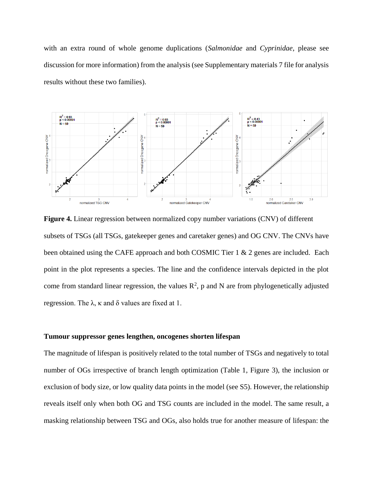with an extra round of whole genome duplications (*Salmonidae* and *Cyprinidae*, please see discussion for more information) from the analysis (see Supplementary materials 7 file for analysis results without these two families).



**Figure 4.** Linear regression between normalized copy number variations (CNV) of different subsets of TSGs (all TSGs, gatekeeper genes and caretaker genes) and OG CNV. The CNVs have been obtained using the CAFE approach and both COSMIC Tier 1 & 2 genes are included. Each point in the plot represents a species. The line and the confidence intervals depicted in the plot come from standard linear regression, the values  $R^2$ , p and N are from phylogenetically adjusted regression. The  $λ$ , κ and  $δ$  values are fixed at 1.

### **Tumour suppressor genes lengthen, oncogenes shorten lifespan**

The magnitude of lifespan is positively related to the total number of TSGs and negatively to total number of OGs irrespective of branch length optimization (Table 1, Figure 3), the inclusion or exclusion of body size, or low quality data points in the model (see S5). However, the relationship reveals itself only when both OG and TSG counts are included in the model. The same result, a masking relationship between TSG and OGs, also holds true for another measure of lifespan: the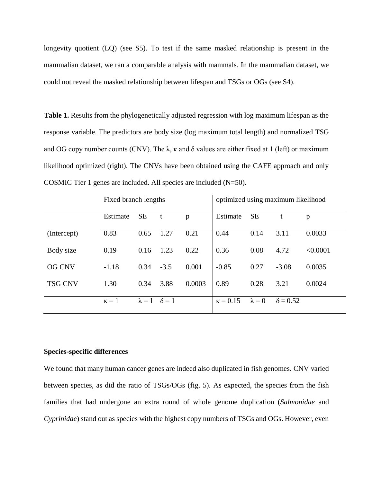longevity quotient (LQ) (see S5). To test if the same masked relationship is present in the mammalian dataset, we ran a comparable analysis with mammals. In the mammalian dataset, we could not reveal the masked relationship between lifespan and TSGs or OGs (see S4).

**Table 1.** Results from the phylogenetically adjusted regression with log maximum lifespan as the response variable. The predictors are body size (log maximum total length) and normalized TSG and OG copy number counts (CNV). The  $\lambda$ ,  $\kappa$  and  $\delta$  values are either fixed at 1 (left) or maximum likelihood optimized (right). The CNVs have been obtained using the CAFE approach and only COSMIC Tier 1 genes are included. All species are included (N=50).

|                | Fixed branch lengths |               |              |        | optimized using maximum likelihood |               |                 |          |
|----------------|----------------------|---------------|--------------|--------|------------------------------------|---------------|-----------------|----------|
|                | Estimate             | <b>SE</b>     | t            | p      | Estimate                           | <b>SE</b>     | t               | p        |
| (Intercept)    | 0.83                 | 0.65          | 1.27         | 0.21   | 0.44                               | 0.14          | 3.11            | 0.0033   |
| Body size      | 0.19                 | 0.16          | 1.23         | 0.22   | 0.36                               | 0.08          | 4.72            | < 0.0001 |
| <b>OG CNV</b>  | $-1.18$              | 0.34          | $-3.5$       | 0.001  | $-0.85$                            | 0.27          | $-3.08$         | 0.0035   |
| <b>TSG CNV</b> | 1.30                 | 0.34          | 3.88         | 0.0003 | 0.89                               | 0.28          | 3.21            | 0.0024   |
|                | $\kappa = 1$         | $\lambda = 1$ | $\delta = 1$ |        | $\kappa = 0.15$                    | $\lambda = 0$ | $\delta = 0.52$ |          |

# **Species-specific differences**

We found that many human cancer genes are indeed also duplicated in fish genomes. CNV varied between species, as did the ratio of TSGs/OGs (fig. 5). As expected, the species from the fish families that had undergone an extra round of whole genome duplication (*Salmonidae* and *Cyprinidae*) stand out as species with the highest copy numbers of TSGs and OGs. However, even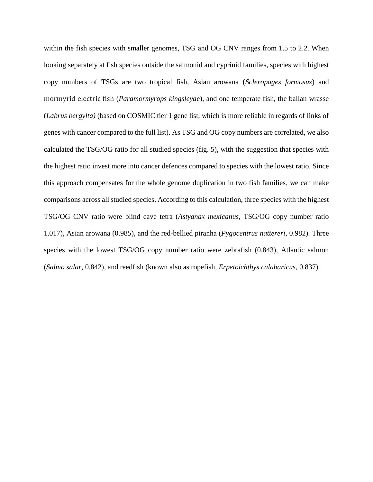within the fish species with smaller genomes, TSG and OG CNV ranges from 1.5 to 2.2. When looking separately at fish species outside the salmonid and cyprinid families, species with highest copy numbers of TSGs are two tropical fish, Asian arowana (*Scleropages formosus*) and mormyrid electric fish (*Paramormyrops kingsleyae*)*,* and one temperate fish, the ballan wrasse (*Labrus bergylta)* (based on COSMIC tier 1 gene list, which is more reliable in regards of links of genes with cancer compared to the full list). As TSG and OG copy numbers are correlated, we also calculated the TSG/OG ratio for all studied species (fig. 5), with the suggestion that species with the highest ratio invest more into cancer defences compared to species with the lowest ratio. Since this approach compensates for the whole genome duplication in two fish families, we can make comparisons across all studied species. According to this calculation, three species with the highest TSG/OG CNV ratio were blind cave tetra (*Astyanax mexicanus*, TSG/OG copy number ratio 1.017), Asian arowana (0.985), and the red-bellied piranha (*Pygocentrus nattereri,* 0.982). Three species with the lowest TSG/OG copy number ratio were zebrafish (0.843), Atlantic salmon (*Salmo salar*, 0.842), and reedfish (known also as ropefish, *Erpetoichthys calabaricus,* 0.837).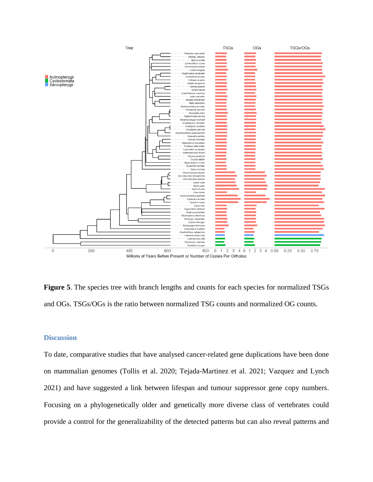

**Figure 5**. The species tree with branch lengths and counts for each species for normalized TSGs and OGs. TSGs/OGs is the ratio between normalized TSG counts and normalized OG counts.

## **Discussion**

To date, comparative studies that have analysed cancer-related gene duplications have been done on mammalian genomes (Tollis et al. 2020; Tejada-Martinez et al. 2021; Vazquez and Lynch 2021) and have suggested a link between lifespan and tumour suppressor gene copy numbers. Focusing on a phylogenetically older and genetically more diverse class of vertebrates could provide a control for the generalizability of the detected patterns but can also reveal patterns and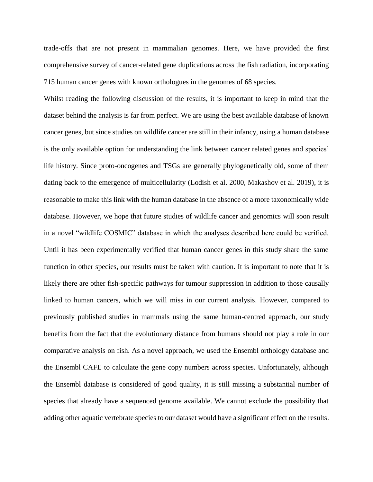trade-offs that are not present in mammalian genomes. Here, we have provided the first comprehensive survey of cancer-related gene duplications across the fish radiation, incorporating 715 human cancer genes with known orthologues in the genomes of 68 species.

Whilst reading the following discussion of the results, it is important to keep in mind that the dataset behind the analysis is far from perfect. We are using the best available database of known cancer genes, but since studies on wildlife cancer are still in their infancy, using a human database is the only available option for understanding the link between cancer related genes and species' life history. Since proto-oncogenes and TSGs are generally phylogenetically old, some of them dating back to the emergence of multicellularity (Lodish et al. 2000, Makashov et al. 2019), it is reasonable to make this link with the human database in the absence of a more taxonomically wide database. However, we hope that future studies of wildlife cancer and genomics will soon result in a novel "wildlife COSMIC" database in which the analyses described here could be verified. Until it has been experimentally verified that human cancer genes in this study share the same function in other species, our results must be taken with caution. It is important to note that it is likely there are other fish-specific pathways for tumour suppression in addition to those causally linked to human cancers, which we will miss in our current analysis. However, compared to previously published studies in mammals using the same human-centred approach, our study benefits from the fact that the evolutionary distance from humans should not play a role in our comparative analysis on fish. As a novel approach, we used the Ensembl orthology database and the Ensembl CAFE to calculate the gene copy numbers across species. Unfortunately, although the Ensembl database is considered of good quality, it is still missing a substantial number of species that already have a sequenced genome available. We cannot exclude the possibility that adding other aquatic vertebrate species to our dataset would have a significant effect on the results.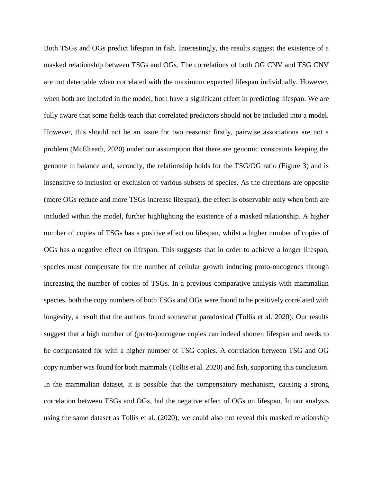Both TSGs and OGs predict lifespan in fish. Interestingly, the results suggest the existence of a masked relationship between TSGs and OGs. The correlations of both OG CNV and TSG CNV are not detectable when correlated with the maximum expected lifespan individually. However, when both are included in the model, both have a significant effect in predicting lifespan. We are fully aware that some fields teach that correlated predictors should not be included into a model. However, this should not be an issue for two reasons: firstly, pairwise associations are not a problem (McElreath, 2020) under our assumption that there are genomic constraints keeping the genome in balance and, secondly, the relationship holds for the TSG/OG ratio (Figure 3) and is insensitive to inclusion or exclusion of various subsets of species. As the directions are opposite (more OGs reduce and more TSGs increase lifespan), the effect is observable only when both are included within the model, further highlighting the existence of a masked relationship. A higher number of copies of TSGs has a positive effect on lifespan, whilst a higher number of copies of OGs has a negative effect on lifespan. This suggests that in order to achieve a longer lifespan, species must compensate for the number of cellular growth inducing proto-oncogenes through increasing the number of copies of TSGs. In a previous comparative analysis with mammalian species, both the copy numbers of both TSGs and OGs were found to be positively correlated with longevity, a result that the authors found somewhat paradoxical (Tollis et al. 2020). Our results suggest that a high number of (proto-)oncogene copies can indeed shorten lifespan and needs to be compensated for with a higher number of TSG copies. A correlation between TSG and OG copy number was found for both mammals (Tollis et al. 2020) and fish, supporting this conclusion. In the mammalian dataset, it is possible that the compensatory mechanism, causing a strong correlation between TSGs and OGs, hid the negative effect of OGs on lifespan. In our analysis using the same dataset as Tollis et al. (2020), we could also not reveal this masked relationship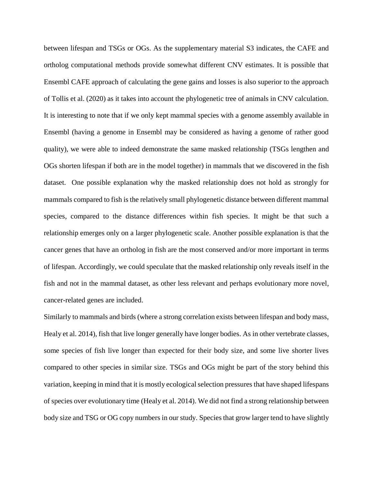between lifespan and TSGs or OGs. As the supplementary material S3 indicates, the CAFE and ortholog computational methods provide somewhat different CNV estimates. It is possible that Ensembl CAFE approach of calculating the gene gains and losses is also superior to the approach of Tollis et al. (2020) as it takes into account the phylogenetic tree of animals in CNV calculation. It is interesting to note that if we only kept mammal species with a genome assembly available in Ensembl (having a genome in Ensembl may be considered as having a genome of rather good quality), we were able to indeed demonstrate the same masked relationship (TSGs lengthen and OGs shorten lifespan if both are in the model together) in mammals that we discovered in the fish dataset. One possible explanation why the masked relationship does not hold as strongly for mammals compared to fish is the relatively small phylogenetic distance between different mammal species, compared to the distance differences within fish species. It might be that such a relationship emerges only on a larger phylogenetic scale. Another possible explanation is that the cancer genes that have an ortholog in fish are the most conserved and/or more important in terms of lifespan. Accordingly, we could speculate that the masked relationship only reveals itself in the fish and not in the mammal dataset, as other less relevant and perhaps evolutionary more novel, cancer-related genes are included.

Similarly to mammals and birds (where a strong correlation exists between lifespan and body mass, Healy et al. 2014), fish that live longer generally have longer bodies. As in other vertebrate classes, some species of fish live longer than expected for their body size, and some live shorter lives compared to other species in similar size. TSGs and OGs might be part of the story behind this variation, keeping in mind that it is mostly ecological selection pressures that have shaped lifespans of species over evolutionary time (Healy et al. 2014). We did not find a strong relationship between body size and TSG or OG copy numbers in our study. Species that grow larger tend to have slightly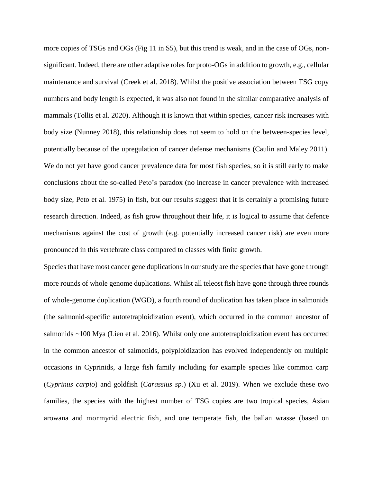more copies of TSGs and OGs (Fig 11 in S5), but this trend is weak, and in the case of OGs, nonsignificant. Indeed, there are other adaptive roles for proto-OGs in addition to growth, e.g., cellular maintenance and survival (Creek et al. 2018). Whilst the positive association between TSG copy numbers and body length is expected, it was also not found in the similar comparative analysis of mammals (Tollis et al. 2020). Although it is known that within species, cancer risk increases with body size (Nunney 2018), this relationship does not seem to hold on the between-species level, potentially because of the upregulation of cancer defense mechanisms (Caulin and Maley 2011). We do not yet have good cancer prevalence data for most fish species, so it is still early to make conclusions about the so-called Peto's paradox (no increase in cancer prevalence with increased body size, Peto et al. 1975) in fish, but our results suggest that it is certainly a promising future research direction. Indeed, as fish grow throughout their life, it is logical to assume that defence mechanisms against the cost of growth (e.g. potentially increased cancer risk) are even more pronounced in this vertebrate class compared to classes with finite growth.

Species that have most cancer gene duplications in our study are the species that have gone through more rounds of whole genome duplications. Whilst all teleost fish have gone through three rounds of whole-genome duplication (WGD), a fourth round of duplication has taken place in salmonids (the salmonid-specific autotetraploidization event), which occurred in the common ancestor of salmonids ~100 Mya (Lien et al. 2016). Whilst only one autotetraploidization event has occurred in the common ancestor of salmonids, polyploidization has evolved independently on multiple occasions in Cyprinids, a large fish family including for example species like common carp (*Cyprinus carpio*) and goldfish (*Carassius sp.*) (Xu et al. 2019). When we exclude these two families, the species with the highest number of TSG copies are two tropical species, Asian arowana and mormyrid electric fish*,* and one temperate fish, the ballan wrasse (based on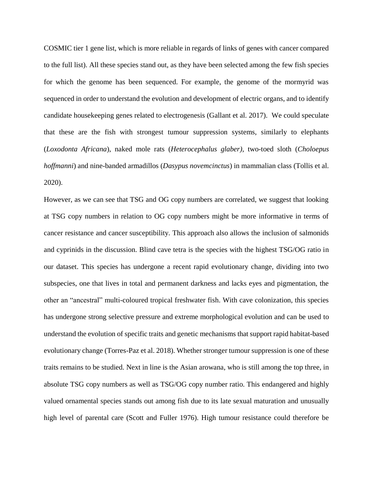COSMIC tier 1 gene list, which is more reliable in regards of links of genes with cancer compared to the full list). All these species stand out, as they have been selected among the few fish species for which the genome has been sequenced. For example, the genome of the mormyrid was sequenced in order to understand the evolution and development of electric organs, and to identify candidate housekeeping genes related to electrogenesis (Gallant et al. 2017). We could speculate that these are the fish with strongest tumour suppression systems, similarly to elephants (*Loxodonta Africana*), naked mole rats (*Heterocephalus glaber)*, two-toed sloth (*Choloepus hoffmanni*) and nine-banded armadillos (*Dasypus novemcinctus*) in mammalian class (Tollis et al. 2020).

However, as we can see that TSG and OG copy numbers are correlated, we suggest that looking at TSG copy numbers in relation to OG copy numbers might be more informative in terms of cancer resistance and cancer susceptibility. This approach also allows the inclusion of salmonids and cyprinids in the discussion. Blind cave tetra is the species with the highest TSG/OG ratio in our dataset. This species has undergone a recent rapid evolutionary change, dividing into two subspecies, one that lives in total and permanent darkness and lacks eyes and pigmentation, the other an "ancestral" multi-coloured tropical freshwater fish. With cave colonization, this species has undergone strong selective pressure and extreme morphological evolution and can be used to understand the evolution of specific traits and genetic mechanisms that support rapid habitat-based evolutionary change (Torres-Paz et al. 2018). Whether stronger tumour suppression is one of these traits remains to be studied. Next in line is the Asian arowana, who is still among the top three, in absolute TSG copy numbers as well as TSG/OG copy number ratio. This endangered and highly valued ornamental species stands out among fish due to its late sexual maturation and unusually high level of parental care (Scott and Fuller 1976). High tumour resistance could therefore be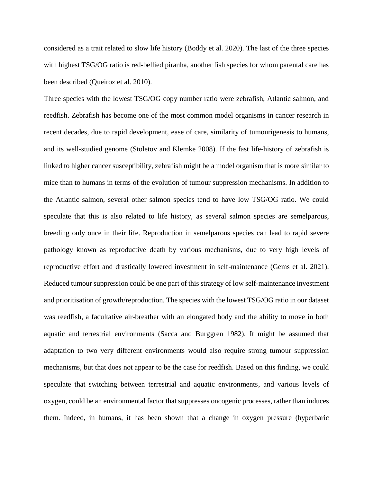considered as a trait related to slow life history (Boddy et al. 2020). The last of the three species with highest TSG/OG ratio is red-bellied piranha, another fish species for whom parental care has been described (Queiroz et al. 2010).

Three species with the lowest TSG/OG copy number ratio were zebrafish, Atlantic salmon, and reedfish. Zebrafish has become one of the most common model organisms in cancer research in recent decades, due to rapid development, ease of care, similarity of tumourigenesis to humans, and its well-studied genome (Stoletov and Klemke 2008). If the fast life-history of zebrafish is linked to higher cancer susceptibility, zebrafish might be a model organism that is more similar to mice than to humans in terms of the evolution of tumour suppression mechanisms. In addition to the Atlantic salmon, several other salmon species tend to have low TSG/OG ratio. We could speculate that this is also related to life history, as several salmon species are semelparous, breeding only once in their life. Reproduction in semelparous species can lead to rapid severe pathology known as reproductive death by various mechanisms, due to very high levels of reproductive effort and drastically lowered investment in self-maintenance (Gems et al. 2021). Reduced tumour suppression could be one part of this strategy of low self-maintenance investment and prioritisation of growth/reproduction. The species with the lowest TSG/OG ratio in our dataset was reedfish, a facultative air-breather with an elongated body and the ability to move in both aquatic and terrestrial environments (Sacca and Burggren 1982). It might be assumed that adaptation to two very different environments would also require strong tumour suppression mechanisms, but that does not appear to be the case for reedfish. Based on this finding, we could speculate that switching between terrestrial and aquatic environments, and various levels of oxygen, could be an environmental factor that suppresses oncogenic processes, rather than induces them. Indeed, in humans, it has been shown that a change in oxygen pressure (hyperbaric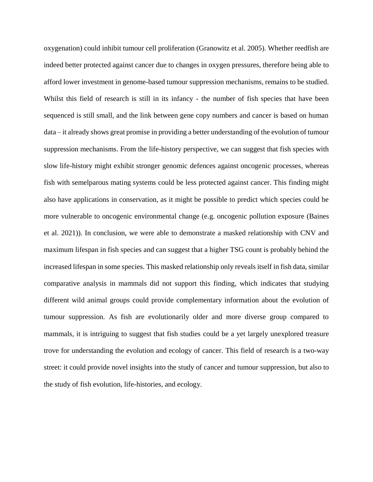oxygenation) could inhibit tumour cell proliferation (Granowitz et al. 2005). Whether reedfish are indeed better protected against cancer due to changes in oxygen pressures, therefore being able to afford lower investment in genome-based tumour suppression mechanisms, remains to be studied. Whilst this field of research is still in its infancy - the number of fish species that have been sequenced is still small, and the link between gene copy numbers and cancer is based on human data – it already shows great promise in providing a better understanding of the evolution of tumour suppression mechanisms. From the life-history perspective, we can suggest that fish species with slow life-history might exhibit stronger genomic defences against oncogenic processes, whereas fish with semelparous mating systems could be less protected against cancer. This finding might also have applications in conservation, as it might be possible to predict which species could be more vulnerable to oncogenic environmental change (e.g. oncogenic pollution exposure (Baines et al. 2021)). In conclusion, we were able to demonstrate a masked relationship with CNV and maximum lifespan in fish species and can suggest that a higher TSG count is probably behind the increased lifespan in some species. This masked relationship only reveals itself in fish data, similar comparative analysis in mammals did not support this finding, which indicates that studying different wild animal groups could provide complementary information about the evolution of tumour suppression. As fish are evolutionarily older and more diverse group compared to mammals, it is intriguing to suggest that fish studies could be a yet largely unexplored treasure trove for understanding the evolution and ecology of cancer. This field of research is a two-way street: it could provide novel insights into the study of cancer and tumour suppression, but also to the study of fish evolution, life-histories, and ecology.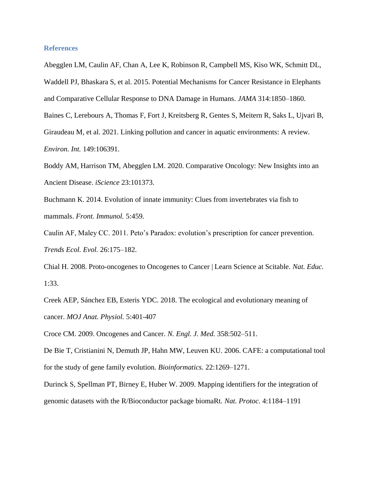### **References**

Abegglen LM, Caulin AF, Chan A, Lee K, Robinson R, Campbell MS, Kiso WK, Schmitt DL, Waddell PJ, Bhaskara S, et al. 2015. Potential Mechanisms for Cancer Resistance in Elephants and Comparative Cellular Response to DNA Damage in Humans. *JAMA* 314:1850–1860. Baines C, Lerebours A, Thomas F, Fort J, Kreitsberg R, Gentes S, Meitern R, Saks L, Ujvari B, Giraudeau M, et al. 2021. Linking pollution and cancer in aquatic environments: A review.

*Environ. Int.* 149:106391.

Boddy AM, Harrison TM, Abegglen LM. 2020. Comparative Oncology: New Insights into an Ancient Disease. *iScience* 23:101373.

Buchmann K. 2014. Evolution of innate immunity: Clues from invertebrates via fish to mammals. *Front. Immunol.* 5:459.

Caulin AF, Maley CC. 2011. Peto's Paradox: evolution's prescription for cancer prevention. *Trends Ecol. Evol.* 26:175–182.

Chial H. 2008. Proto-oncogenes to Oncogenes to Cancer | Learn Science at Scitable. *Nat. Educ.* 1:33.

Creek AEP, Sánchez EB, Esteris YDC. 2018. The ecological and evolutionary meaning of cancer. *MOJ Anat. Physiol.* 5:401-407

Croce CM. 2009. Oncogenes and Cancer. *N. Engl. J. Med.* 358:502–511.

De Bie T, Cristianini N, Demuth JP, Hahn MW, Leuven KU. 2006. CAFE: a computational tool for the study of gene family evolution. *Bioinformatics.* 22:1269–1271.

Durinck S, Spellman PT, Birney E, Huber W. 2009. Mapping identifiers for the integration of genomic datasets with the R/Bioconductor package biomaRt. *Nat. Protoc.* 4:1184–1191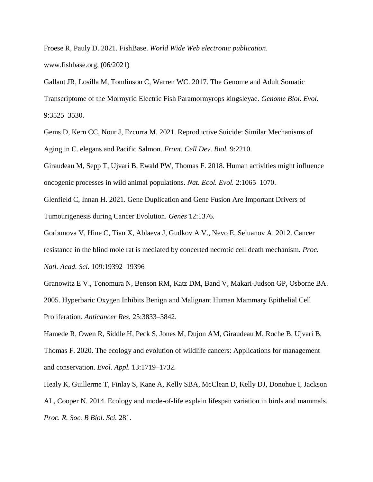Froese R, Pauly D. 2021. FishBase. *World Wide Web electronic publication*. www.fishbase.org, (06/2021)

Gallant JR, Losilla M, Tomlinson C, Warren WC. 2017. The Genome and Adult Somatic Transcriptome of the Mormyrid Electric Fish Paramormyrops kingsleyae. *Genome Biol. Evol.* 9:3525–3530.

Gems D, Kern CC, Nour J, Ezcurra M. 2021. Reproductive Suicide: Similar Mechanisms of Aging in C. elegans and Pacific Salmon. *Front. Cell Dev. Biol.* 9:2210.

Giraudeau M, Sepp T, Ujvari B, Ewald PW, Thomas F. 2018. Human activities might influence oncogenic processes in wild animal populations. *Nat. Ecol. Evol.* 2:1065–1070.

Glenfield C, Innan H. 2021. Gene Duplication and Gene Fusion Are Important Drivers of Tumourigenesis during Cancer Evolution. *Genes* 12:1376.

Gorbunova V, Hine C, Tian X, Ablaeva J, Gudkov A V., Nevo E, Seluanov A. 2012. Cancer resistance in the blind mole rat is mediated by concerted necrotic cell death mechanism. *Proc. Natl. Acad. Sci.* 109:19392–19396

Granowitz E V., Tonomura N, Benson RM, Katz DM, Band V, Makari-Judson GP, Osborne BA. 2005. Hyperbaric Oxygen Inhibits Benign and Malignant Human Mammary Epithelial Cell Proliferation. *Anticancer Res.* 25:3833–3842.

Hamede R, Owen R, Siddle H, Peck S, Jones M, Dujon AM, Giraudeau M, Roche B, Ujvari B, Thomas F. 2020. The ecology and evolution of wildlife cancers: Applications for management and conservation. *Evol. Appl.* 13:1719–1732.

Healy K, Guillerme T, Finlay S, Kane A, Kelly SBA, McClean D, Kelly DJ, Donohue I, Jackson AL, Cooper N. 2014. Ecology and mode-of-life explain lifespan variation in birds and mammals. *Proc. R. Soc. B Biol. Sci.* 281.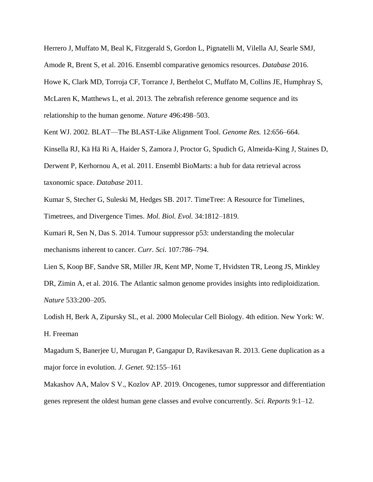Herrero J, Muffato M, Beal K, Fitzgerald S, Gordon L, Pignatelli M, Vilella AJ, Searle SMJ, Amode R, Brent S, et al. 2016. Ensembl comparative genomics resources. *Database* 2016. Howe K, Clark MD, Torroja CF, Torrance J, Berthelot C, Muffato M, Collins JE, Humphray S, McLaren K, Matthews L, et al. 2013. The zebrafish reference genome sequence and its relationship to the human genome. *Nature* 496:498–503.

Kent WJ. 2002. BLAT—The BLAST-Like Alignment Tool. *Genome Res.* 12:656–664.

Kinsella RJ, Kä Hä Ri A, Haider S, Zamora J, Proctor G, Spudich G, Almeida-King J, Staines D,

Derwent P, Kerhornou A, et al. 2011. Ensembl BioMarts: a hub for data retrieval across taxonomic space. *Database* 2011.

Kumar S, Stecher G, Suleski M, Hedges SB. 2017. TimeTree: A Resource for Timelines, Timetrees, and Divergence Times. *Mol. Biol. Evol.* 34:1812–1819.

Kumari R, Sen N, Das S. 2014. Tumour suppressor p53: understanding the molecular mechanisms inherent to cancer. *Curr. Sci.* 107:786–794.

Lien S, Koop BF, Sandve SR, Miller JR, Kent MP, Nome T, Hvidsten TR, Leong JS, Minkley DR, Zimin A, et al. 2016. The Atlantic salmon genome provides insights into rediploidization. *Nature* 533:200–205.

Lodish H, Berk A, Zipursky SL, et al. 2000 Molecular Cell Biology. 4th edition. New York: W. H. Freeman

Magadum S, Banerjee U, Murugan P, Gangapur D, Ravikesavan R. 2013. Gene duplication as a major force in evolution. *J. Genet.* 92:155–161

Makashov AA, Malov S V., Kozlov AP. 2019. Oncogenes, tumor suppressor and differentiation genes represent the oldest human gene classes and evolve concurrently. *Sci. Reports* 9:1–12.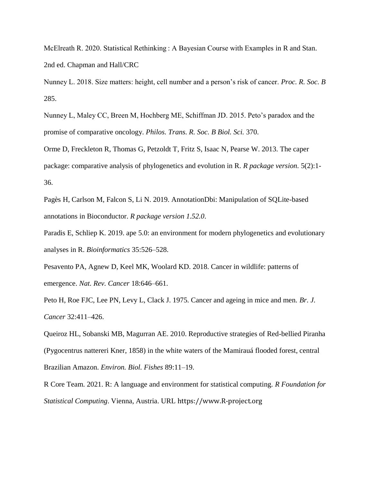McElreath R. 2020. Statistical Rethinking : A Bayesian Course with Examples in R and Stan. 2nd ed. Chapman and Hall/CRC

Nunney L. 2018. Size matters: height, cell number and a person's risk of cancer. *Proc. R. Soc. B* 285.

Nunney L, Maley CC, Breen M, Hochberg ME, Schiffman JD. 2015. Peto's paradox and the promise of comparative oncology. *Philos. Trans. R. Soc. B Biol. Sci.* 370.

Orme D, Freckleton R, Thomas G, Petzoldt T, Fritz S, Isaac N, Pearse W. 2013. The caper package: comparative analysis of phylogenetics and evolution in R. *R package version.* 5(2):1- 36.

Pagès H, Carlson M, Falcon S, Li N. 2019. AnnotationDbi: Manipulation of SQLite-based annotations in Bioconductor. *R package version 1.52.0*.

Paradis E, Schliep K. 2019. ape 5.0: an environment for modern phylogenetics and evolutionary analyses in R. *Bioinformatics* 35:526–528.

Pesavento PA, Agnew D, Keel MK, Woolard KD. 2018. Cancer in wildlife: patterns of emergence. *Nat. Rev. Cancer* 18:646–661.

Peto H, Roe FJC, Lee PN, Levy L, Clack J. 1975. Cancer and ageing in mice and men. *Br. J. Cancer* 32:411–426.

Queiroz HL, Sobanski MB, Magurran AE. 2010. Reproductive strategies of Red-bellied Piranha (Pygocentrus nattereri Kner, 1858) in the white waters of the Mamirauá flooded forest, central Brazilian Amazon. *Environ. Biol. Fishes* 89:11–19.

R Core Team. 2021. R: A language and environment for statistical computing*. R Foundation for Statistical Computing*. Vienna, Austria. URL [https://www.R-project.org](https://www.r-project.org/)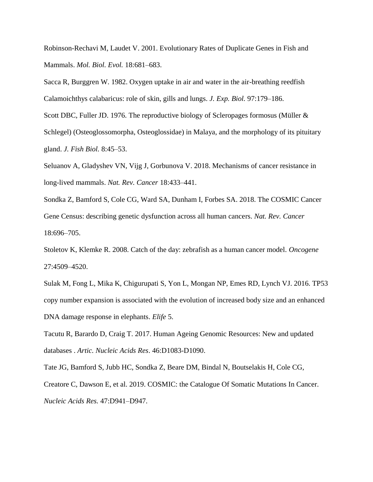Robinson-Rechavi M, Laudet V. 2001. Evolutionary Rates of Duplicate Genes in Fish and Mammals. *Mol. Biol. Evol.* 18:681–683.

Sacca R, Burggren W. 1982. Oxygen uptake in air and water in the air-breathing reedfish Calamoichthys calabaricus: role of skin, gills and lungs. *J. Exp. Biol.* 97:179–186. Scott DBC, Fuller JD. 1976. The reproductive biology of Scleropages formosus (Müller & Schlegel) (Osteoglossomorpha, Osteoglossidae) in Malaya, and the morphology of its pituitary gland. *J. Fish Biol.* 8:45–53.

Seluanov A, Gladyshev VN, Vijg J, Gorbunova V. 2018. Mechanisms of cancer resistance in long-lived mammals. *Nat. Rev. Cancer* 18:433–441.

Sondka Z, Bamford S, Cole CG, Ward SA, Dunham I, Forbes SA. 2018. The COSMIC Cancer Gene Census: describing genetic dysfunction across all human cancers. *Nat. Rev. Cancer*  18:696–705.

Stoletov K, Klemke R. 2008. Catch of the day: zebrafish as a human cancer model. *Oncogene*  27:4509–4520.

Sulak M, Fong L, Mika K, Chigurupati S, Yon L, Mongan NP, Emes RD, Lynch VJ. 2016. TP53 copy number expansion is associated with the evolution of increased body size and an enhanced DNA damage response in elephants. *Elife* 5.

Tacutu R, Barardo D, Craig T. 2017. Human Ageing Genomic Resources: New and updated databases . *Artic. Nucleic Acids Res*. 46:D1083-D1090.

Tate JG, Bamford S, Jubb HC, Sondka Z, Beare DM, Bindal N, Boutselakis H, Cole CG, Creatore C, Dawson E, et al. 2019. COSMIC: the Catalogue Of Somatic Mutations In Cancer. *Nucleic Acids Res.* 47:D941–D947.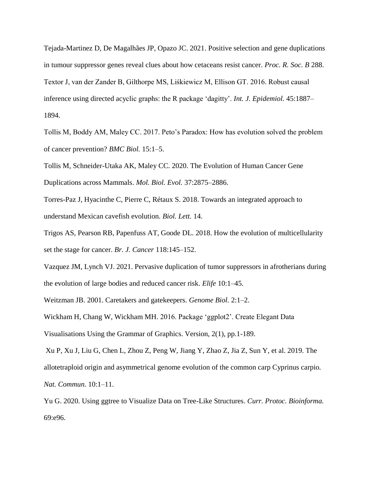Tejada-Martinez D, De Magalhães JP, Opazo JC. 2021. Positive selection and gene duplications in tumour suppressor genes reveal clues about how cetaceans resist cancer. *Proc. R. Soc. B* 288. Textor J, van der Zander B, Gilthorpe MS, Liśkiewicz M, Ellison GT. 2016. Robust causal inference using directed acyclic graphs: the R package 'dagitty'. *Int. J. Epidemiol.* 45:1887– 1894.

Tollis M, Boddy AM, Maley CC. 2017. Peto's Paradox: How has evolution solved the problem of cancer prevention? *BMC Biol.* 15:1–5.

Tollis M, Schneider-Utaka AK, Maley CC. 2020. The Evolution of Human Cancer Gene Duplications across Mammals. *Mol. Biol. Evol.* 37:2875–2886.

Torres-Paz J, Hyacinthe C, Pierre C, Rétaux S. 2018. Towards an integrated approach to understand Mexican cavefish evolution. *Biol. Lett.* 14.

Trigos AS, Pearson RB, Papenfuss AT, Goode DL. 2018. How the evolution of multicellularity set the stage for cancer. *Br. J. Cancer* 118:145–152.

Vazquez JM, Lynch VJ. 2021. Pervasive duplication of tumor suppressors in afrotherians during the evolution of large bodies and reduced cancer risk. *Elife* 10:1–45.

Weitzman JB. 2001. Caretakers and gatekeepers. *Genome Biol.* 2:1–2.

Wickham H, Chang W, Wickham MH. 2016. Package 'ggplot2'. Create Elegant Data Visualisations Using the Grammar of Graphics. Version, 2(1), pp.1-189.

Xu P, Xu J, Liu G, Chen L, Zhou Z, Peng W, Jiang Y, Zhao Z, Jia Z, Sun Y, et al. 2019. The allotetraploid origin and asymmetrical genome evolution of the common carp Cyprinus carpio. *Nat. Commun.* 10:1–11.

Yu G. 2020. Using ggtree to Visualize Data on Tree-Like Structures. *Curr. Protoc. Bioinforma.* 69:e96.